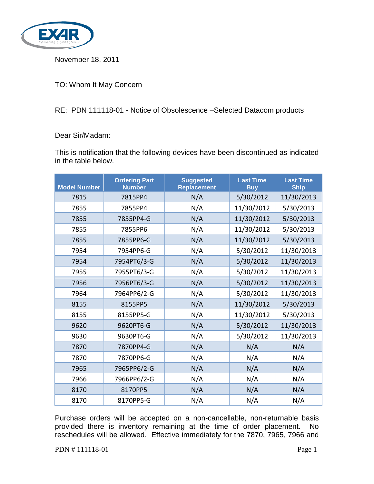

November 18, 2011

TO: Whom It May Concern

## RE: PDN 111118-01 - Notice of Obsolescence –Selected Datacom products

## Dear Sir/Madam:

This is notification that the following devices have been discontinued as indicated in the table below.

| <b>Model Number</b> | <b>Ordering Part</b><br><b>Number</b> | <b>Suggested</b><br><b>Replacement</b> | <b>Last Time</b><br><b>Buy</b> | <b>Last Time</b><br><b>Ship</b> |
|---------------------|---------------------------------------|----------------------------------------|--------------------------------|---------------------------------|
| 7815                | 7815PP4                               | N/A                                    | 5/30/2012                      | 11/30/2013                      |
| 7855                | 7855PP4                               | N/A                                    | 11/30/2012                     | 5/30/2013                       |
| 7855                | 7855PP4-G                             | N/A                                    | 11/30/2012                     | 5/30/2013                       |
| 7855                | 7855PP6                               | N/A                                    | 11/30/2012                     | 5/30/2013                       |
| 7855                | 7855PP6-G                             | N/A                                    | 11/30/2012                     | 5/30/2013                       |
| 7954                | 7954PP6-G                             | N/A                                    | 5/30/2012                      | 11/30/2013                      |
| 7954                | 7954PT6/3-G                           | N/A                                    | 5/30/2012                      | 11/30/2013                      |
| 7955                | 7955PT6/3-G                           | N/A                                    | 5/30/2012                      | 11/30/2013                      |
| 7956                | 7956PT6/3-G                           | N/A                                    | 5/30/2012                      | 11/30/2013                      |
| 7964                | 7964PP6/2-G                           | N/A                                    | 5/30/2012                      | 11/30/2013                      |
| 8155                | 8155PP5                               | N/A                                    | 11/30/2012                     | 5/30/2013                       |
| 8155                | 8155PP5-G                             | N/A                                    | 11/30/2012                     | 5/30/2013                       |
| 9620                | 9620PT6-G                             | N/A                                    | 5/30/2012                      | 11/30/2013                      |
| 9630                | 9630PT6-G                             | N/A                                    | 5/30/2012                      | 11/30/2013                      |
| 7870                | 7870PP4-G                             | N/A                                    | N/A                            | N/A                             |
| 7870                | 7870PP6-G                             | N/A                                    | N/A                            | N/A                             |
| 7965                | 7965PP6/2-G                           | N/A                                    | N/A                            | N/A                             |
| 7966                | 7966PP6/2-G                           | N/A                                    | N/A                            | N/A                             |
| 8170                | 8170PP5                               | N/A                                    | N/A                            | N/A                             |
| 8170                | 8170PP5-G                             | N/A                                    | N/A                            | N/A                             |

Purchase orders will be accepted on a non-cancellable, non-returnable basis provided there is inventory remaining at the time of order placement. No reschedules will be allowed. Effective immediately for the 7870, 7965, 7966 and